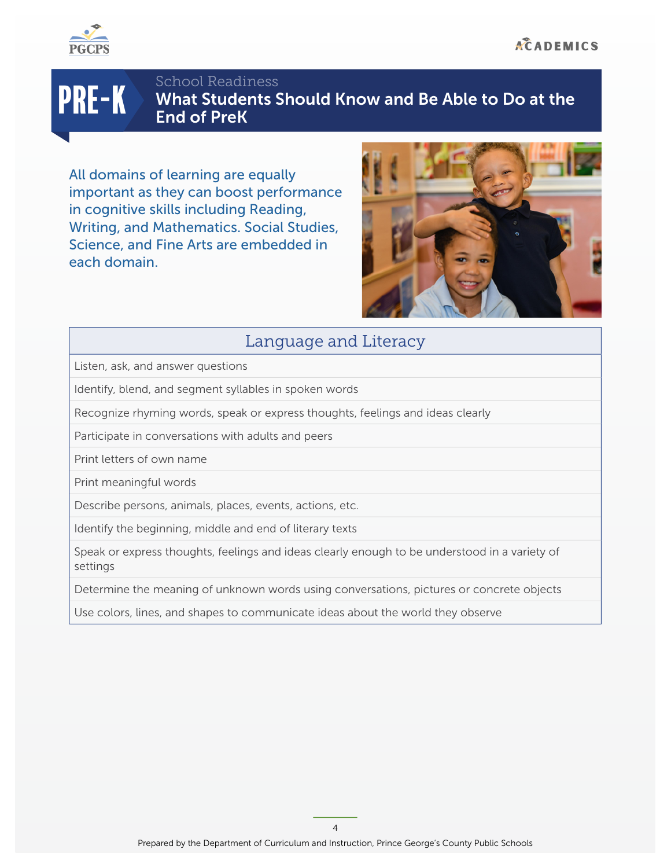

# PRE-K

School Readiness What Students Should Know and Be Able to Do at the End of PreK

All domains of learning are equally important as they can boost performance in cognitive skills including Reading, Writing, and Mathematics. Social Studies, Science, and Fine Arts are embedded in each domain.



# Language and Literacy

Listen, ask, and answer questions

Identify, blend, and segment syllables in spoken words

Recognize rhyming words, speak or express thoughts, feelings and ideas clearly

Participate in conversations with adults and peers

Print letters of own name

Print meaningful words

Describe persons, animals, places, events, actions, etc.

Identify the beginning, middle and end of literary texts

Speak or express thoughts, feelings and ideas clearly enough to be understood in a variety of settings

Determine the meaning of unknown words using conversations, pictures or concrete objects

Use colors, lines, and shapes to communicate ideas about the world they observe